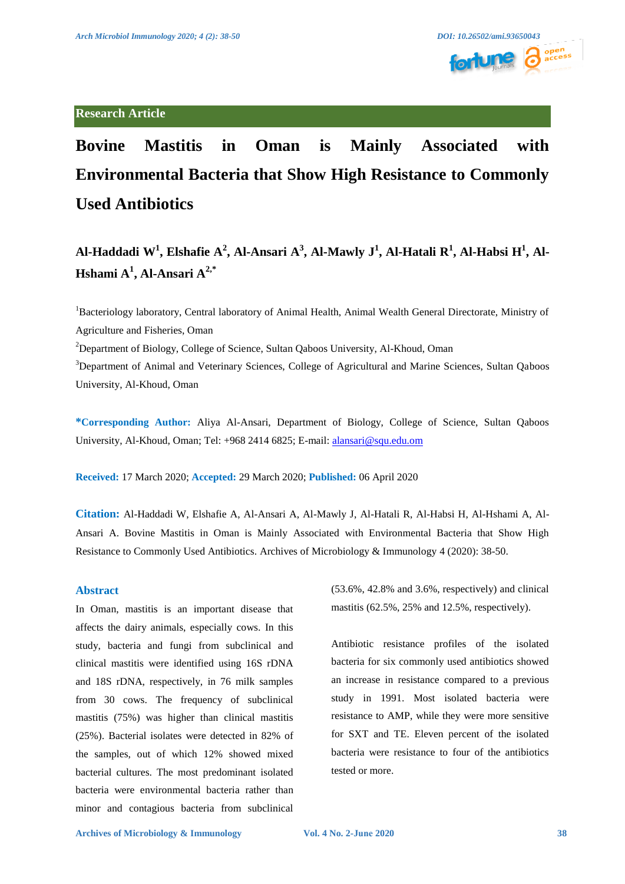# **Research Article**

# **Bovine Mastitis in Oman is Mainly Associated with Environmental Bacteria that Show High Resistance to Commonly Used Antibiotics**

**Al-Haddadi W1 , Elshafie A<sup>2</sup> , Al-Ansari A3 , Al-Mawly J<sup>1</sup> , Al-Hatali R<sup>1</sup> , Al-Habsi H<sup>1</sup> , Al-Hshami A<sup>1</sup> , Al-Ansari A2,\*** 

<sup>1</sup>Bacteriology laboratory, Central laboratory of Animal Health, Animal Wealth General Directorate, Ministry of Agriculture and Fisheries, Oman

<sup>2</sup>Department of Biology, College of Science, Sultan Qaboos University, Al-Khoud, Oman

<sup>3</sup>Department of Animal and Veterinary Sciences, College of Agricultural and Marine Sciences, Sultan Qaboos University, Al-Khoud, Oman

**\*Corresponding Author:** Aliya Al-Ansari, Department of Biology, College of Science, Sultan Qaboos University, Al-Khoud, Oman; Tel: +968 2414 6825; E-mail[: alansari@squ.edu.om](mailto:alansari@squ.edu.om)

**Received:** 17 March 2020; **Accepted:** 29 March 2020; **Published:** 06 April 2020

**Citation:** Al-Haddadi W, Elshafie A, Al-Ansari A, Al-Mawly J, Al-Hatali R, Al-Habsi H, Al-Hshami A, Al-Ansari A. Bovine Mastitis in Oman is Mainly Associated with Environmental Bacteria that Show High Resistance to Commonly Used Antibiotics. Archives of Microbiology & Immunology 4 (2020): 38-50.

# **Abstract**

In Oman, mastitis is an important disease that affects the dairy animals, especially cows. In this study, bacteria and fungi from subclinical and clinical mastitis were identified using 16S rDNA and 18S rDNA, respectively, in 76 milk samples from 30 cows. The frequency of subclinical mastitis (75%) was higher than clinical mastitis (25%). Bacterial isolates were detected in 82% of the samples, out of which 12% showed mixed bacterial cultures. The most predominant isolated bacteria were environmental bacteria rather than minor and contagious bacteria from subclinical

(53.6%, 42.8% and 3.6%, respectively) and clinical mastitis (62.5%, 25% and 12.5%, respectively).

Antibiotic resistance profiles of the isolated bacteria for six commonly used antibiotics showed an increase in resistance compared to a previous study in 1991. Most isolated bacteria were resistance to AMP, while they were more sensitive for SXT and TE. Eleven percent of the isolated bacteria were resistance to four of the antibiotics tested or more.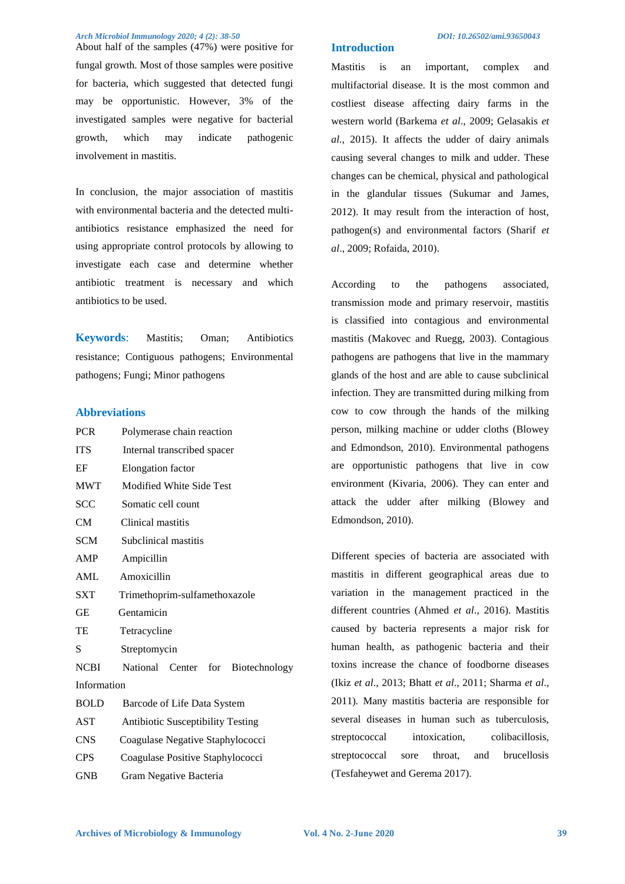About half of the samples (47%) were positive for fungal growth. Most of those samples were positive for bacteria, which suggested that detected fungi may be opportunistic. However, 3% of the investigated samples were negative for bacterial growth, which may indicate pathogenic involvement in mastitis.

In conclusion, the major association of mastitis with environmental bacteria and the detected multiantibiotics resistance emphasized the need for using appropriate control protocols by allowing to investigate each case and determine whether antibiotic treatment is necessary and which antibiotics to be used.

**Keywords**: Mastitis; Oman; Antibiotics resistance; Contiguous pathogens; Environmental pathogens; Fungi; Minor pathogens

# **Abbreviations**

| <b>PCR</b>  | Polymerase chain reaction                |  |  |  |  |  |
|-------------|------------------------------------------|--|--|--|--|--|
| <b>ITS</b>  | Internal transcribed spacer              |  |  |  |  |  |
| EF          | Elongation factor                        |  |  |  |  |  |
| <b>MWT</b>  | Modified White Side Test                 |  |  |  |  |  |
| SCC         | Somatic cell count                       |  |  |  |  |  |
| CM          | Clinical mastitis                        |  |  |  |  |  |
| <b>SCM</b>  | Subclinical mastitis                     |  |  |  |  |  |
| AMP         | Ampicillin                               |  |  |  |  |  |
| <b>AML</b>  | Amoxicillin                              |  |  |  |  |  |
| <b>SXT</b>  | Trimethoprim-sulfamethoxazole            |  |  |  |  |  |
| GЕ          | Gentamicin                               |  |  |  |  |  |
| TE          | Tetracycline                             |  |  |  |  |  |
| S           | Streptomycin                             |  |  |  |  |  |
| <b>NCBI</b> | National Center<br>for<br>Biotechnology  |  |  |  |  |  |
| Information |                                          |  |  |  |  |  |
| <b>BOLD</b> | Barcode of Life Data System              |  |  |  |  |  |
| AST         | <b>Antibiotic Susceptibility Testing</b> |  |  |  |  |  |
| <b>CNS</b>  | Coagulase Negative Staphylococci         |  |  |  |  |  |
| CPS         | Coagulase Positive Staphylococci         |  |  |  |  |  |
| <b>GNB</b>  | Gram Negative Bacteria                   |  |  |  |  |  |

Mastitis is an important, complex and multifactorial disease. It is the most common and costliest disease affecting dairy farms in the western world (Barkema *et al*., 2009; Gelasakis *et al.,* 2015). It affects the udder of dairy animals causing several changes to milk and udder. These changes can be chemical, physical and pathological in the glandular tissues (Sukumar and James, 2012). It may result from the interaction of host, pathogen(s) and environmental factors (Sharif *et al*., 2009; Rofaida, 2010).

**Introduction** 

According to the pathogens associated, transmission mode and primary reservoir, mastitis is classified into contagious and environmental mastitis (Makovec and Ruegg, 2003). Contagious pathogens are pathogens that live in the mammary glands of the host and are able to cause subclinical infection. They are transmitted during milking from cow to cow through the hands of the milking person, milking machine or udder cloths (Blowey and Edmondson, 2010). Environmental pathogens are opportunistic pathogens that live in cow environment (Kivaria, 2006). They can enter and attack the udder after milking (Blowey and Edmondson, 2010).

Different species of bacteria are associated with mastitis in different geographical areas due to variation in the management practiced in the different countries (Ahmed *et al*., 2016). Mastitis caused by bacteria represents a major risk for human health, as pathogenic bacteria and their toxins increase the chance of foodborne diseases (Ikiz *et al*., 2013; Bhatt *et al*., 2011; Sharma *et al*., 2011)*.* Many mastitis bacteria are responsible for several diseases in human such as tuberculosis, streptococcal intoxication, colibacillosis, streptococcal sore throat, and brucellosis (Tesfaheywet and Gerema 2017).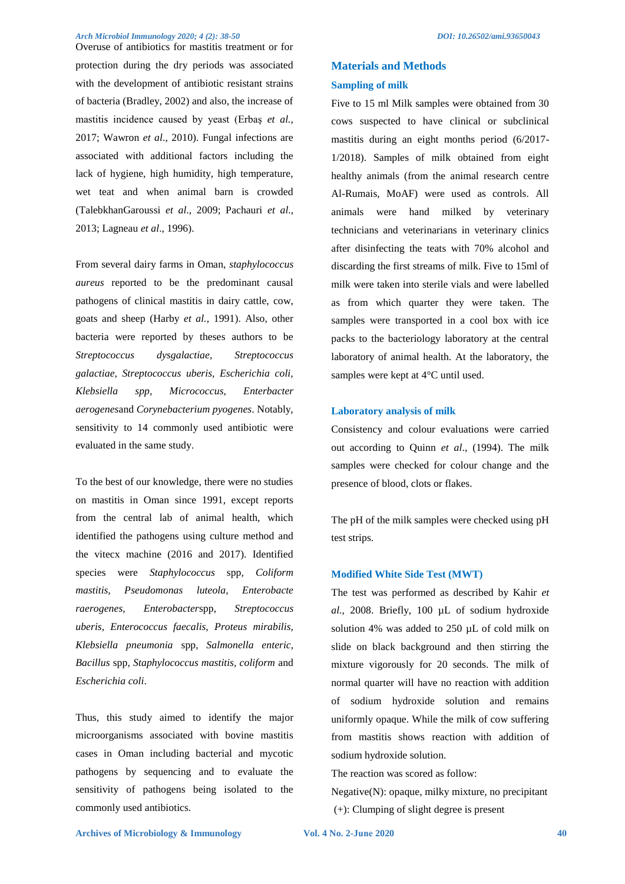Overuse of antibiotics for mastitis treatment or for protection during the dry periods was associated with the development of antibiotic resistant strains of bacteria (Bradley, 2002) and also, the increase of mastitis incidence caused by yeast (Erbaş *et al.*, 2017; Wawron *et al*., 2010). Fungal infections are associated with additional factors including the lack of hygiene, high humidity, high temperature, wet teat and when animal barn is crowded (TalebkhanGaroussi *et al*., 2009; Pachauri *et al*., 2013; Lagneau *et al*., 1996).

From several dairy farms in Oman, *staphylococcus aureus* reported to be the predominant causal pathogens of clinical mastitis in dairy cattle, cow, goats and sheep (Harby *et al.,* 1991). Also, other bacteria were reported by theses authors to be *Streptococcus dysgalactiae, Streptococcus galactiae, Streptococcus uberis, Escherichia coli, Klebsiella spp, Micrococcus, Enterbacter aerogenes*and *Corynebacterium pyogenes*. Notably, sensitivity to 14 commonly used antibiotic were evaluated in the same study.

To the best of our knowledge, there were no studies on mastitis in Oman since 1991, except reports from the central lab of animal health, which identified the pathogens using culture method and the vitecx machine (2016 and 2017). Identified species were *Staphylococcus* spp*, Coliform mastitis, Pseudomonas luteola, Enterobacte raerogenes, Enterobacter*spp, *Streptococcus uberis, Enterococcus faecalis, Proteus mirabilis, Klebsiella pneumonia* spp*, Salmonella enteric, Bacillus* spp*, Staphylococcus mastitis, coliform* and *Escherichia coli*.

Thus, this study aimed to identify the major microorganisms associated with bovine mastitis cases in Oman including bacterial and mycotic pathogens by sequencing and to evaluate the sensitivity of pathogens being isolated to the commonly used antibiotics.

# **Materials and Methods Sampling of milk**

Five to 15 ml Milk samples were obtained from 30 cows suspected to have clinical or subclinical mastitis during an eight months period (6/2017- 1/2018). Samples of milk obtained from eight healthy animals (from the animal research centre Al-Rumais, MoAF) were used as controls. All animals were hand milked by veterinary technicians and veterinarians in veterinary clinics after disinfecting the teats with 70% alcohol and discarding the first streams of milk. Five to 15ml of milk were taken into sterile vials and were labelled as from which quarter they were taken. The samples were transported in a cool box with ice packs to the bacteriology laboratory at the central laboratory of animal health. At the laboratory, the samples were kept at 4°C until used.

#### **Laboratory analysis of milk**

Consistency and colour evaluations were carried out according to Quinn *et al*., (1994). The milk samples were checked for colour change and the presence of blood, clots or flakes.

The pH of the milk samples were checked using pH test strips.

#### **Modified White Side Test (MWT)**

The test was performed as described by Kahir *et al.,* 2008. Briefly, 100 µL of sodium hydroxide solution 4% was added to 250 µL of cold milk on slide on black background and then stirring the mixture vigorously for 20 seconds. The milk of normal quarter will have no reaction with addition of sodium hydroxide solution and remains uniformly opaque. While the milk of cow suffering from mastitis shows reaction with addition of sodium hydroxide solution.

The reaction was scored as follow:

Negative(N): opaque, milky mixture, no precipitant (+): Clumping of slight degree is present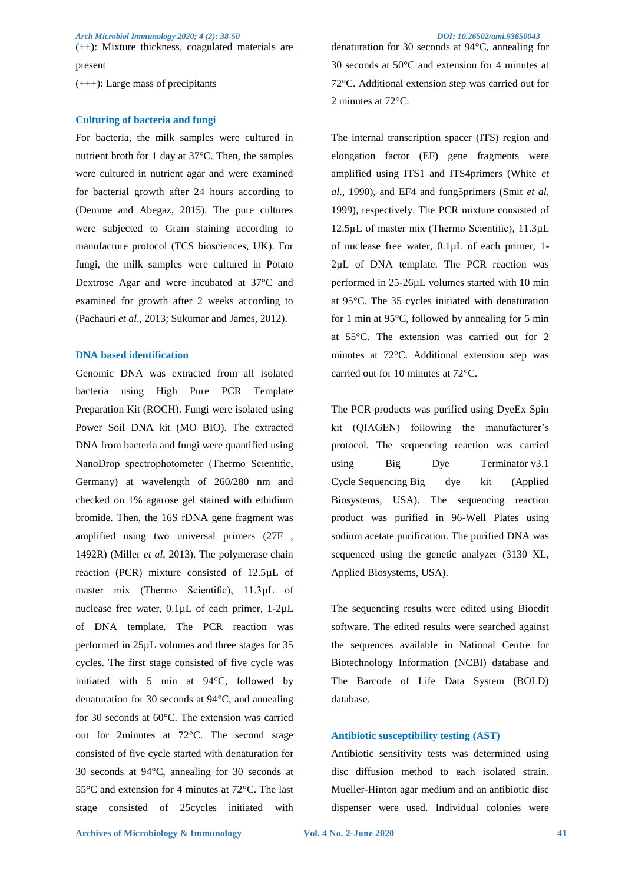(++): Mixture thickness, coagulated materials are present

(+++): Large mass of precipitants

### **Culturing of bacteria and fungi**

For bacteria, the milk samples were cultured in nutrient broth for 1 day at 37°C. Then, the samples were cultured in nutrient agar and were examined for bacterial growth after 24 hours according to (Demme and Abegaz, 2015). The pure cultures were subjected to Gram staining according to manufacture protocol (TCS biosciences, UK). For fungi, the milk samples were cultured in Potato Dextrose Agar and were incubated at 37°C and examined for growth after 2 weeks according to (Pachauri *et al*., 2013; Sukumar and James, 2012).

# **DNA based identification**

Genomic DNA was extracted from all isolated bacteria using High Pure PCR Template Preparation Kit (ROCH). Fungi were isolated using Power Soil DNA kit (MO BIO). The extracted DNA from bacteria and fungi were quantified using NanoDrop spectrophotometer (Thermo Scientific, Germany) at wavelength of 260/280 nm and checked on 1% agarose gel stained with ethidium bromide. Then, the 16S rDNA gene fragment was amplified using two universal primers (27F , 1492R) (Miller *et al*, 2013). The polymerase chain reaction (PCR) mixture consisted of 12.5µL of master mix (Thermo Scientific), 11.3µL of nuclease free water, 0.1µL of each primer, 1-2µL of DNA template. The PCR reaction was performed in 25µL volumes and three stages for 35 cycles. The first stage consisted of five cycle was initiated with 5 min at 94°C, followed by denaturation for 30 seconds at 94°C, and annealing for 30 seconds at 60°C. The extension was carried out for 2minutes at 72°C. The second stage consisted of five cycle started with denaturation for 30 seconds at 94°C, annealing for 30 seconds at 55°C and extension for 4 minutes at 72°C. The last stage consisted of 25cycles initiated with

denaturation for 30 seconds at 94°C, annealing for 30 seconds at 50°C and extension for 4 minutes at 72°C. Additional extension step was carried out for 2 minutes at 72°C.

The internal transcription spacer (ITS) region and elongation factor (EF) gene fragments were amplified using ITS1 and ITS4primers (White *et al*., 1990), and EF4 and fung5primers (Smit *et al*, 1999), respectively. The PCR mixture consisted of 12.5µL of master mix (Thermo Scientific), 11.3µL of nuclease free water, 0.1µL of each primer, 1- 2µL of DNA template. The PCR reaction was performed in 25-26µL volumes started with 10 min at 95°C. The 35 cycles initiated with denaturation for 1 min at 95°C, followed by annealing for 5 min at 55°C. The extension was carried out for 2 minutes at 72°C. Additional extension step was carried out for 10 minutes at 72°C.

The PCR products was purified using DyeEx Spin kit (QIAGEN) following the manufacturer's protocol. The sequencing reaction was carried using Big Dye Terminator v3.1 Cycle Sequencing Big dye kit (Applied Biosystems, USA). The sequencing reaction product was purified in 96-Well Plates using sodium acetate purification. The purified DNA was sequenced using the genetic analyzer (3130 XL, Applied Biosystems, USA).

The sequencing results were edited using Bioedit software. The edited results were searched against the sequences available in National Centre for Biotechnology Information (NCBI) database and The Barcode of Life Data System (BOLD) database.

#### **Antibiotic susceptibility testing (AST)**

Antibiotic sensitivity tests was determined using disc diffusion method to each isolated strain. Mueller-Hinton agar medium and an antibiotic disc dispenser were used. Individual colonies were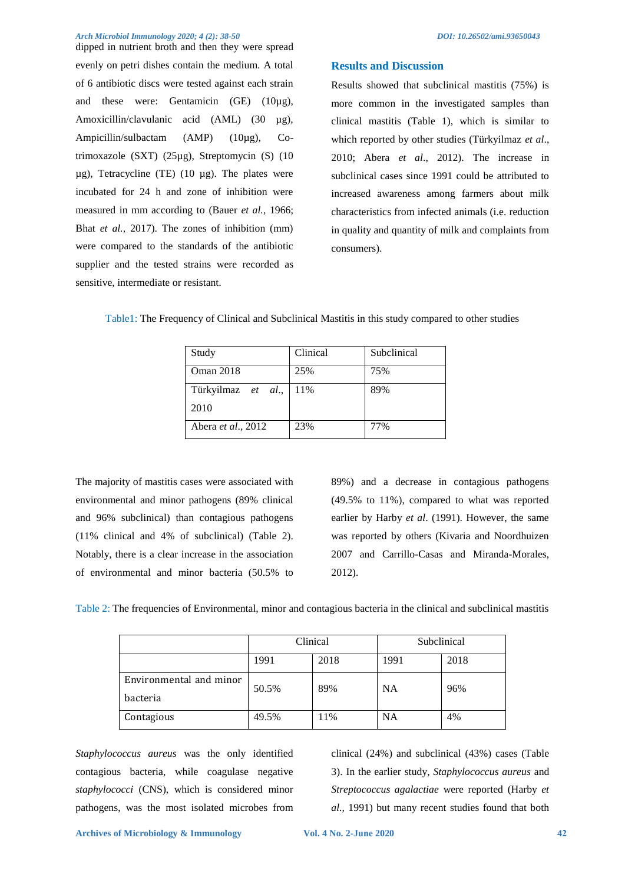dipped in nutrient broth and then they were spread evenly on petri dishes contain the medium. A total of 6 antibiotic discs were tested against each strain and these were: Gentamicin (GE) (10µg), Amoxicillin/clavulanic acid (AML) (30 µg), Ampicillin/sulbactam (AMP) (10µg), Cotrimoxazole (SXT) (25µg), Streptomycin (S) (10  $\mu$ g), Tetracycline (TE) (10  $\mu$ g). The plates were incubated for 24 h and zone of inhibition were measured in mm according to (Bauer *et al.,* 1966; Bhat *et al.,* 2017). The zones of inhibition (mm) were compared to the standards of the antibiotic supplier and the tested strains were recorded as sensitive, intermediate or resistant.

# **Results and Discussion**

Results showed that subclinical mastitis (75%) is more common in the investigated samples than clinical mastitis (Table 1), which is similar to which reported by other studies (Türkyilmaz *et al*., 2010; Abera *et al*., 2012). The increase in subclinical cases since 1991 could be attributed to increased awareness among farmers about milk characteristics from infected animals (i.e. reduction in quality and quantity of milk and complaints from consumers).

| Study              | Clinical | Subclinical |  |  |
|--------------------|----------|-------------|--|--|
| <b>Oman 2018</b>   | 25%      | 75%         |  |  |
| Türkyilmaz et al., | 11%      | 89%         |  |  |
| 2010               |          |             |  |  |
| Abera et al., 2012 | 23%      | 77%         |  |  |

Table1: The Frequency of Clinical and Subclinical Mastitis in this study compared to other studies

The majority of mastitis cases were associated with environmental and minor pathogens (89% clinical and 96% subclinical) than contagious pathogens (11% clinical and 4% of subclinical) (Table 2). Notably, there is a clear increase in the association of environmental and minor bacteria (50.5% to 89%) and a decrease in contagious pathogens (49.5% to 11%), compared to what was reported earlier by Harby *et al*. (1991). However, the same was reported by others (Kivaria and Noordhuizen 2007 and Carrillo-Casas and Miranda-Morales, 2012).

|  |  |  | Table 2: The frequencies of Environmental, minor and contagious bacteria in the clinical and subclinical mastitis |  |  |  |
|--|--|--|-------------------------------------------------------------------------------------------------------------------|--|--|--|
|  |  |  |                                                                                                                   |  |  |  |

|                         |       | Clinical | Subclinical |      |  |
|-------------------------|-------|----------|-------------|------|--|
|                         | 1991  | 2018     | 1991        | 2018 |  |
| Environmental and minor | 50.5% | 89%      | <b>NA</b>   | 96%  |  |
| bacteria                |       |          |             |      |  |
| Contagious              | 49.5% | 11%      | NA          | 4%   |  |

*Staphylococcus aureus* was the only identified contagious bacteria, while coagulase negative *staphylococci* (CNS), which is considered minor pathogens, was the most isolated microbes from clinical (24%) and subclinical (43%) cases (Table 3). In the earlier study, *Staphylococcus aureus* and *Streptococcus agalactiae* were reported (Harby *et al.,* 1991) but many recent studies found that both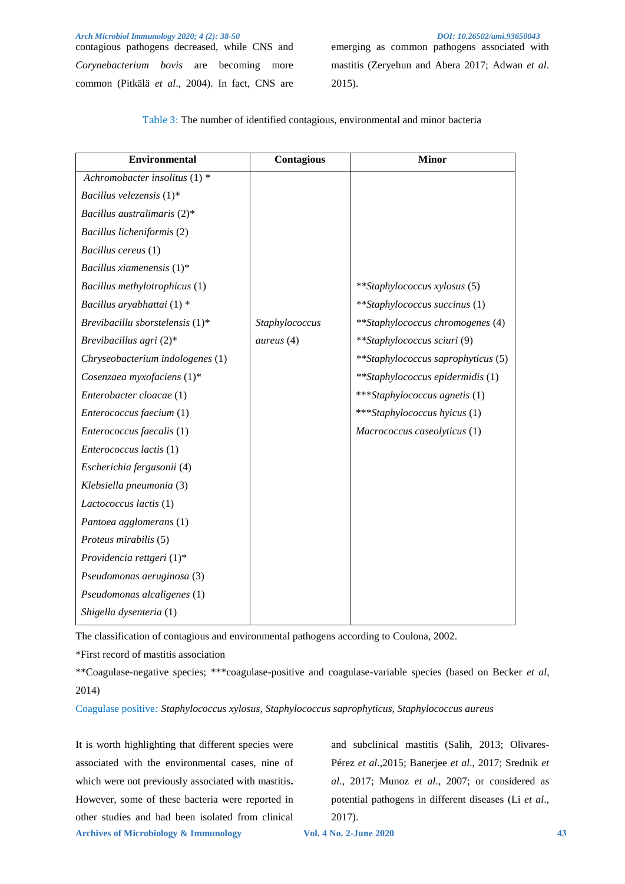contagious pathogens decreased, while CNS and *Corynebacterium bovis* are becoming more common (Pitkälä *et al*., 2004). In fact, CNS are

emerging as common pathogens associated with mastitis (Zeryehun and Abera 2017; Adwan *et al*. 2015).

| <b>Environmental</b>               | Contagious     | <b>Minor</b>                            |
|------------------------------------|----------------|-----------------------------------------|
| Achromobacter insolitus $(1)$ *    |                |                                         |
| Bacillus velezensis $(1)^*$        |                |                                         |
| Bacillus australimaris $(2)^*$     |                |                                         |
| Bacillus licheniformis (2)         |                |                                         |
| Bacillus cereus (1)                |                |                                         |
| Bacillus xiamenensis $(1)^*$       |                |                                         |
| Bacillus methylotrophicus (1)      |                | <i>**Staphylococcus xylosus</i> (5)     |
| Bacillus aryabhattai (1) *         |                | **Staphylococcus succinus (1)           |
| Brevibacillu sborstelensis $(1)^*$ | Staphylococcus | <i>**Staphylococcus chromogenes</i> (4) |
| Brevibacillus agri $(2)^*$         | aureus (4)     | **Staphylococcus sciuri (9)             |
| Chryseobacterium indologenes (1)   |                | **Staphylococcus saprophyticus (5)      |
| Cosenzaea myxofaciens (1)*         |                | **Staphylococcus epidermidis (1)        |
| Enterobacter cloacae (1)           |                | ***Staphylococcus agnetis (1)           |
| Enterococcus faecium (1)           |                | ***Staphylococcus hyicus (1)            |
| Enterococcus faecalis (1)          |                | Macrococcus caseolyticus (1)            |
| Enterococcus lactis (1)            |                |                                         |
| Escherichia fergusonii (4)         |                |                                         |
| Klebsiella pneumonia (3)           |                |                                         |
| Lactococcus lactis (1)             |                |                                         |
| Pantoea agglomerans (1)            |                |                                         |
| Proteus mirabilis (5)              |                |                                         |
| Providencia rettgeri $(1)^*$       |                |                                         |
| Pseudomonas aeruginosa (3)         |                |                                         |
| Pseudomonas alcaligenes (1)        |                |                                         |
| Shigella dysenteria (1)            |                |                                         |

Table 3: The number of identified contagious, environmental and minor bacteria

The classification of contagious and environmental pathogens according to Coulona, 2002.

\*First record of mastitis association

\*\*Coagulase-negative species; \*\*\*coagulase-positive and coagulase-variable species (based on Becker *et al*, 2014)

Coagulase positive*: Staphylococcus xylosus, Staphylococcus saprophyticus, Staphylococcus aureus*

**Archives of Microbiology & Immunology Vol. 4 No. 2-June 2020 43** It is worth highlighting that different species were associated with the environmental cases, nine of which were not previously associated with mastitis**.** However, some of these bacteria were reported in other studies and had been isolated from clinical

and subclinical mastitis (Salih, 2013; Olivares-Pérez *et al*.,2015; Banerjee *et al*., 2017; Srednik *et al*., 2017; Munoz *et al*., 2007; or considered as potential pathogens in different diseases (Li *et al*., 2017).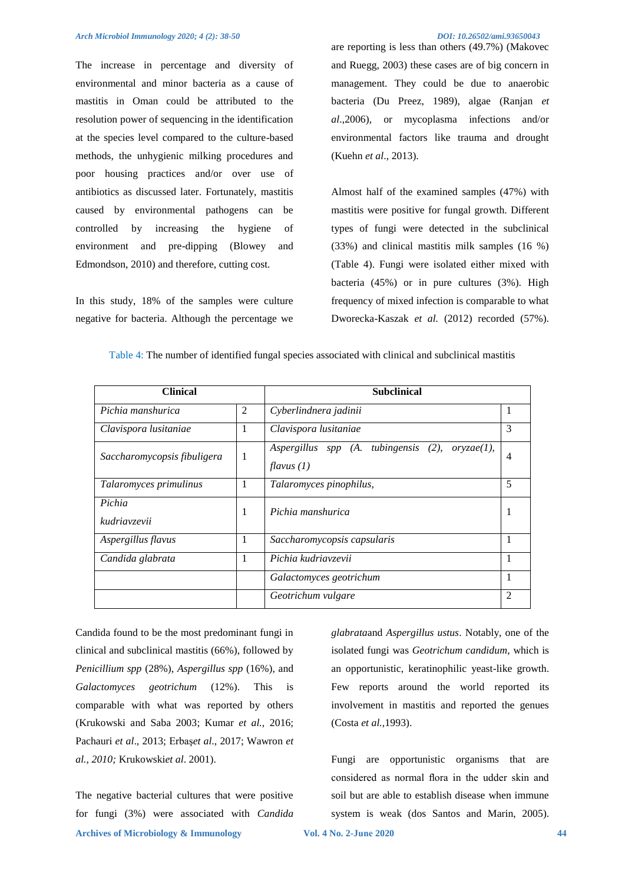The increase in percentage and diversity of environmental and minor bacteria as a cause of mastitis in Oman could be attributed to the resolution power of sequencing in the identification at the species level compared to the culture-based methods, the unhygienic milking procedures and poor housing practices and/or over use of antibiotics as discussed later. Fortunately, mastitis caused by environmental pathogens can be controlled by increasing the hygiene of environment and pre-dipping (Blowey and Edmondson, 2010) and therefore, cutting cost.

In this study, 18% of the samples were culture negative for bacteria. Although the percentage we

are reporting is less than others (49.7%) (Makovec and Ruegg, 2003) these cases are of big concern in management. They could be due to anaerobic bacteria (Du Preez, 1989), algae (Ranjan *et al*.,2006), or mycoplasma infections and/or environmental factors like trauma and drought (Kuehn *et al*., 2013).

Almost half of the examined samples (47%) with mastitis were positive for fungal growth. Different types of fungi were detected in the subclinical (33%) and clinical mastitis milk samples (16 %) (Table 4). Fungi were isolated either mixed with bacteria (45%) or in pure cultures (3%). High frequency of mixed infection is comparable to what Dworecka-Kaszak *et al.* (2012) recorded (57%).

| <b>Clinical</b>                  |   | <b>Subclinical</b>                                                            |              |  |  |  |
|----------------------------------|---|-------------------------------------------------------------------------------|--------------|--|--|--|
| Pichia manshurica                | 2 | Cyberlindnera jadinii                                                         | $\mathbf{I}$ |  |  |  |
| Clavispora lusitaniae            | 1 | Clavispora lusitaniae                                                         | 3            |  |  |  |
| 1<br>Saccharomycopsis fibuligera |   | tubingensis<br>(2),<br>Aspergillus<br>$spp$ (A.<br>oryzae(1),<br>flavus $(1)$ | 4            |  |  |  |
| Talaromyces primulinus           | 1 | Talaromyces pinophilus,                                                       | 5            |  |  |  |
| Pichia<br>1<br>kudriavzevii      |   | Pichia manshurica                                                             |              |  |  |  |
| Aspergillus flavus               | 1 | Saccharomycopsis capsularis                                                   | 1            |  |  |  |
| 1<br>Candida glabrata            |   | Pichia kudriavzevii                                                           |              |  |  |  |
|                                  |   | Galactomyces geotrichum                                                       |              |  |  |  |
|                                  |   | Geotrichum vulgare                                                            | 2            |  |  |  |

Table 4: The number of identified fungal species associated with clinical and subclinical mastitis

Candida found to be the most predominant fungi in clinical and subclinical mastitis (66%), followed by *Penicillium spp* (28%), *Aspergillus spp* (16%), and *Galactomyces geotrichum* (12%). This is comparable with what was reported by others (Krukowski and Saba 2003; Kumar *et al.,* 2016; Pachauri *et al*., 2013; Erbaş*et al*., 2017; Wawron *et al., 2010;* Krukowski*et al*. 2001).

**Archives of Microbiology & Immunology Vol. 4 No. 2-June 2020 44** The negative bacterial cultures that were positive for fungi (3%) were associated with *Candida* 

*glabrata*and *Aspergillus ustus*. Notably, one of the isolated fungi was *Geotrichum candidum*, which is an opportunistic, keratinophilic yeast-like growth. Few reports around the world reported its involvement in mastitis and reported the genues (Costa *et al.,*1993).

Fungi are opportunistic organisms that are considered as normal flora in the udder skin and soil but are able to establish disease when immune system is weak (dos Santos and Marin, 2005).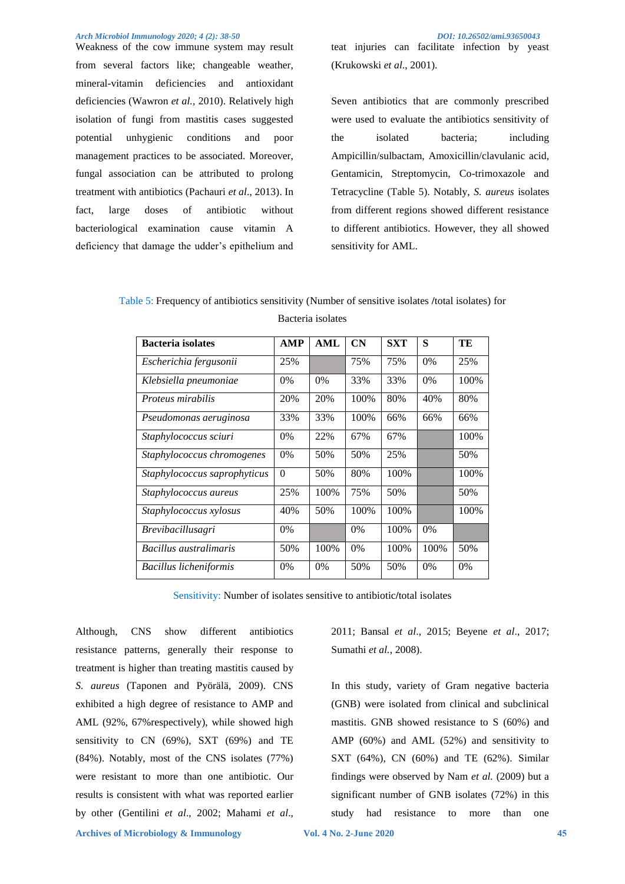Weakness of the cow immune system may result from several factors like; changeable weather, mineral-vitamin deficiencies and antioxidant deficiencies (Wawron *et al.,* 2010). Relatively high isolation of fungi from mastitis cases suggested potential unhygienic conditions and poor management practices to be associated. Moreover, fungal association can be attributed to prolong treatment with antibiotics (Pachauri *et al*., 2013). In fact, large doses of antibiotic without bacteriological examination cause vitamin A deficiency that damage the udder's epithelium and teat injuries can facilitate infection by yeast (Krukowski *et al*., 2001).

Seven antibiotics that are commonly prescribed were used to evaluate the antibiotics sensitivity of the isolated bacteria; including Ampicillin/sulbactam, Amoxicillin/clavulanic acid, Gentamicin, Streptomycin, Co-trimoxazole and Tetracycline (Table 5). Notably, *S. aureus* isolates from different regions showed different resistance to different antibiotics. However, they all showed sensitivity for AML.

Table 5: Frequency of antibiotics sensitivity (Number of sensitive isolates **/**total isolates) for Bacteria isolates

| <b>Bacteria</b> isolates     | <b>AMP</b> | <b>AML</b> | CN    | <b>SXT</b> | S     | TE    |
|------------------------------|------------|------------|-------|------------|-------|-------|
| Escherichia fergusonii       | 25%        |            | 75%   | 75%        | 0%    | 25%   |
| Klebsiella pneumoniae        | $0\%$      | $0\%$      | 33%   | 33%        | 0%    | 100%  |
| <i>Proteus mirabilis</i>     | 20%        | 20%        | 100%  | 80%        | 40%   | 80%   |
| Pseudomonas aeruginosa       | 33%        | 33%        | 100%  | 66%        | 66%   | 66%   |
| Staphylococcus sciuri        | $0\%$      | 22%        | 67%   | 67%        |       | 100%  |
| Staphylococcus chromogenes   | $0\%$      | 50%        | 50%   | 25%        |       | 50%   |
| Staphylococcus saprophyticus | $\Omega$   | 50%        | 80%   | 100%       |       | 100%  |
| Staphylococcus aureus        | 25%        | 100%       | 75%   | 50%        |       | 50%   |
| Staphylococcus xylosus       | 40%        | 50%        | 100%  | 100%       |       | 100%  |
| <i>Brevibacillusagri</i>     | $0\%$      |            | $0\%$ | 100%       | $0\%$ |       |
| Bacillus australimaris       | 50%        | 100%       | $0\%$ | 100%       | 100%  | 50%   |
| Bacillus licheniformis       | $0\%$      | $0\%$      | 50%   | 50%        | $0\%$ | $0\%$ |

Sensitivity: Number of isolates sensitive to antibiotic**/**total isolates

Although, CNS show different antibiotics resistance patterns, generally their response to treatment is higher than treating mastitis caused by *S. aureus* (Taponen and Pyörälä, 2009). CNS exhibited a high degree of resistance to AMP and AML (92%, 67%respectively), while showed high sensitivity to CN (69%), SXT (69%) and TE (84%). Notably, most of the CNS isolates (77%) were resistant to more than one antibiotic. Our results is consistent with what was reported earlier by other (Gentilini *et al*., 2002; Mahami *et al*.,

2011; Bansal *et al*., 2015; Beyene *et al*., 2017; Sumathi *et al.*, 2008).

In this study, variety of Gram negative bacteria (GNB) were isolated from clinical and subclinical mastitis. GNB showed resistance to S (60%) and AMP (60%) and AML (52%) and sensitivity to SXT (64%), CN (60%) and TE (62%). Similar findings were observed by Nam *et al.* (2009) but a significant number of GNB isolates (72%) in this study had resistance to more than one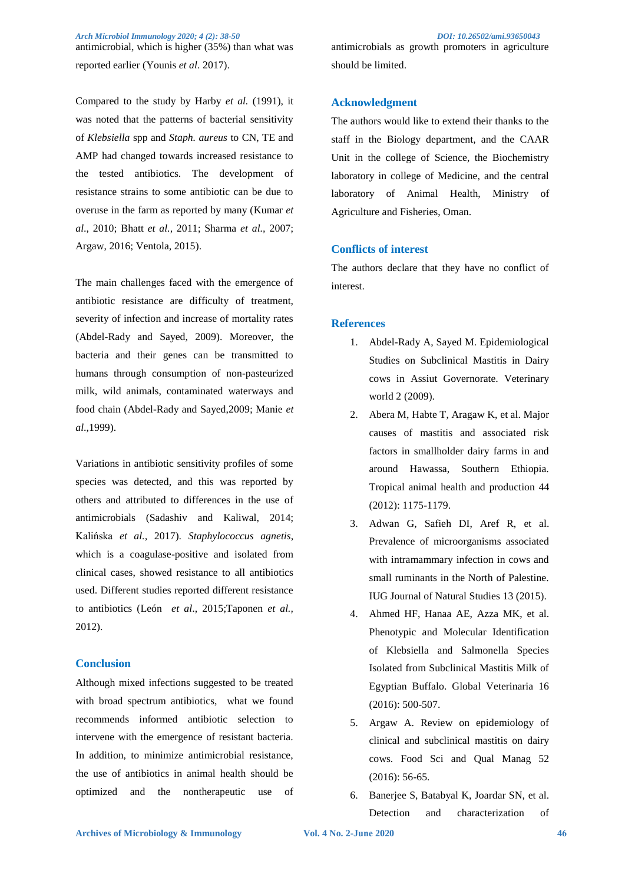antimicrobial, which is higher (35%) than what was reported earlier (Younis *et al*. 2017).

Compared to the study by Harby *et al.* (1991), it was noted that the patterns of bacterial sensitivity of *Klebsiella* spp and *Staph. aureus* to CN, TE and AMP had changed towards increased resistance to the tested antibiotics. The development of resistance strains to some antibiotic can be due to overuse in the farm as reported by many (Kumar *et al*., 2010; Bhatt *et al.,* 2011; Sharma *et al.,* 2007; Argaw, 2016; Ventola, 2015).

The main challenges faced with the emergence of antibiotic resistance are difficulty of treatment, severity of infection and increase of mortality rates (Abdel-Rady and Sayed, 2009). Moreover, the bacteria and their genes can be transmitted to humans through consumption of non-pasteurized milk, wild animals, contaminated waterways and food chain (Abdel-Rady and Sayed,2009; Manie *et al*.,1999).

Variations in antibiotic sensitivity profiles of some species was detected, and this was reported by others and attributed to differences in the use of antimicrobials (Sadashiv and Kaliwal, 2014; Kalińska *et al.,* 2017). *Staphylococcus agnetis*, which is a coagulase-positive and isolated from clinical cases, showed resistance to all antibiotics used. Different studies reported different resistance to antibiotics (León *et al*., 2015;Taponen *et al.,*  2012).

# **Conclusion**

Although mixed infections suggested to be treated with broad spectrum antibiotics, what we found recommends informed antibiotic selection to intervene with the emergence of resistant bacteria. In addition, to minimize antimicrobial resistance, the use of antibiotics in animal health should be optimized and the nontherapeutic use of

# **Acknowledgment**

The authors would like to extend their thanks to the staff in the Biology department, and the CAAR Unit in the college of Science, the Biochemistry laboratory in college of Medicine, and the central laboratory of Animal Health, Ministry of Agriculture and Fisheries, Oman.

# **Conflicts of interest**

The authors declare that they have no conflict of interest.

#### **References**

- 1. Abdel-Rady A, Sayed M. Epidemiological Studies on Subclinical Mastitis in Dairy cows in Assiut Governorate. Veterinary world 2 (2009).
- 2. Abera M, Habte T, Aragaw K, et al. Major causes of mastitis and associated risk factors in smallholder dairy farms in and around Hawassa, Southern Ethiopia. Tropical animal health and production 44 (2012): 1175-1179.
- 3. Adwan G, Safieh DI, Aref R, et al. Prevalence of microorganisms associated with intramammary infection in cows and small ruminants in the North of Palestine. IUG Journal of Natural Studies 13 (2015).
- 4. Ahmed HF, Hanaa AE, Azza MK, et al. Phenotypic and Molecular Identification of Klebsiella and Salmonella Species Isolated from Subclinical Mastitis Milk of Egyptian Buffalo. Global Veterinaria 16 (2016): 500-507.
- 5. Argaw A. Review on epidemiology of clinical and subclinical mastitis on dairy cows. Food Sci and Qual Manag 52 (2016): 56-65.
- 6. Banerjee S, Batabyal K, Joardar SN, et al. Detection and characterization of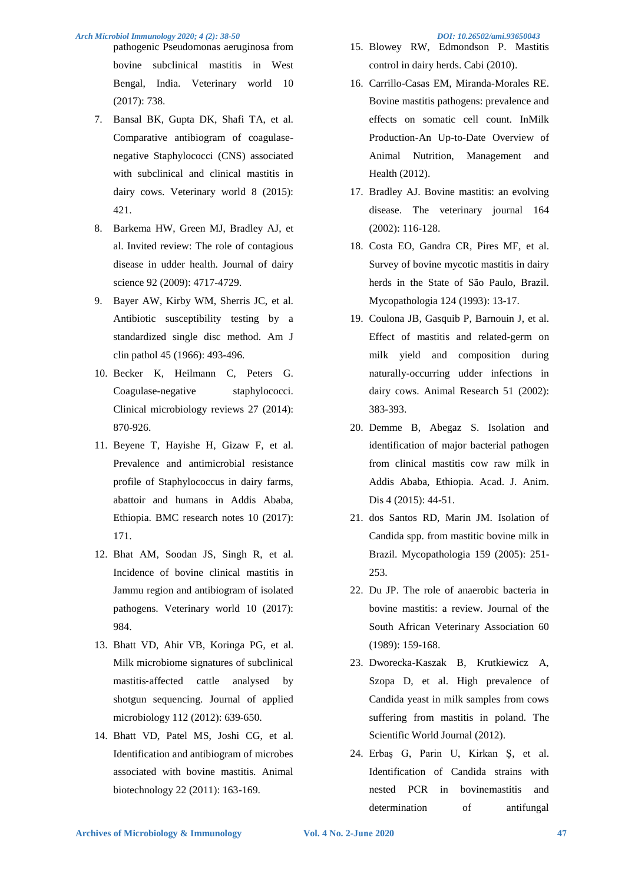pathogenic Pseudomonas aeruginosa from bovine subclinical mastitis in West Bengal, India. Veterinary world 10 (2017): 738.

- 7. Bansal BK, Gupta DK, Shafi TA, et al. Comparative antibiogram of coagulasenegative Staphylococci (CNS) associated with subclinical and clinical mastitis in dairy cows. Veterinary world 8 (2015): 421.
- 8. Barkema HW, Green MJ, Bradley AJ, et al. Invited review: The role of contagious disease in udder health. Journal of dairy science 92 (2009): 4717-4729.
- 9. Bayer AW, Kirby WM, Sherris JC, et al. Antibiotic susceptibility testing by a standardized single disc method. Am J clin pathol 45 (1966): 493-496.
- 10. Becker K, Heilmann C, Peters G. Coagulase-negative staphylococci. Clinical microbiology reviews 27 (2014): 870-926.
- 11. Beyene T, Hayishe H, Gizaw F, et al. Prevalence and antimicrobial resistance profile of Staphylococcus in dairy farms, abattoir and humans in Addis Ababa, Ethiopia. BMC research notes 10 (2017): 171.
- 12. Bhat AM, Soodan JS, Singh R, et al. Incidence of bovine clinical mastitis in Jammu region and antibiogram of isolated pathogens. Veterinary world 10 (2017): 984.
- 13. Bhatt VD, Ahir VB, Koringa PG, et al. Milk microbiome signatures of subclinical mastitis‐affected cattle analysed by shotgun sequencing. Journal of applied microbiology 112 (2012): 639-650.
- 14. Bhatt VD, Patel MS, Joshi CG, et al. Identification and antibiogram of microbes associated with bovine mastitis. Animal biotechnology 22 (2011): 163-169.

- 15. Blowey RW, Edmondson P. Mastitis control in dairy herds. Cabi (2010).
- 16. Carrillo-Casas EM, Miranda-Morales RE. Bovine mastitis pathogens: prevalence and effects on somatic cell count. InMilk Production-An Up-to-Date Overview of Animal Nutrition, Management and Health (2012).
- 17. Bradley AJ. Bovine mastitis: an evolving disease. The veterinary journal 164 (2002): 116-128.
- 18. Costa EO, Gandra CR, Pires MF, et al. Survey of bovine mycotic mastitis in dairy herds in the State of São Paulo, Brazil. Mycopathologia 124 (1993): 13-17.
- 19. Coulona JB, Gasquib P, Barnouin J, et al. Effect of mastitis and related-germ on milk yield and composition during naturally-occurring udder infections in dairy cows. Animal Research 51 (2002): 383-393.
- 20. Demme B, Abegaz S. Isolation and identification of major bacterial pathogen from clinical mastitis cow raw milk in Addis Ababa, Ethiopia. Acad. J. Anim. Dis 4 (2015): 44-51.
- 21. dos Santos RD, Marin JM. Isolation of Candida spp. from mastitic bovine milk in Brazil. Mycopathologia 159 (2005): 251- 253.
- 22. Du JP. The role of anaerobic bacteria in bovine mastitis: a review. Journal of the South African Veterinary Association 60 (1989): 159-168.
- 23. Dworecka-Kaszak B, Krutkiewicz A, Szopa D, et al. High prevalence of Candida yeast in milk samples from cows suffering from mastitis in poland. The Scientific World Journal (2012).
- 24. Erbaş G, Parin U, Kirkan Ş, et al. Identification of Candida strains with nested PCR in bovinemastitis and determination of antifungal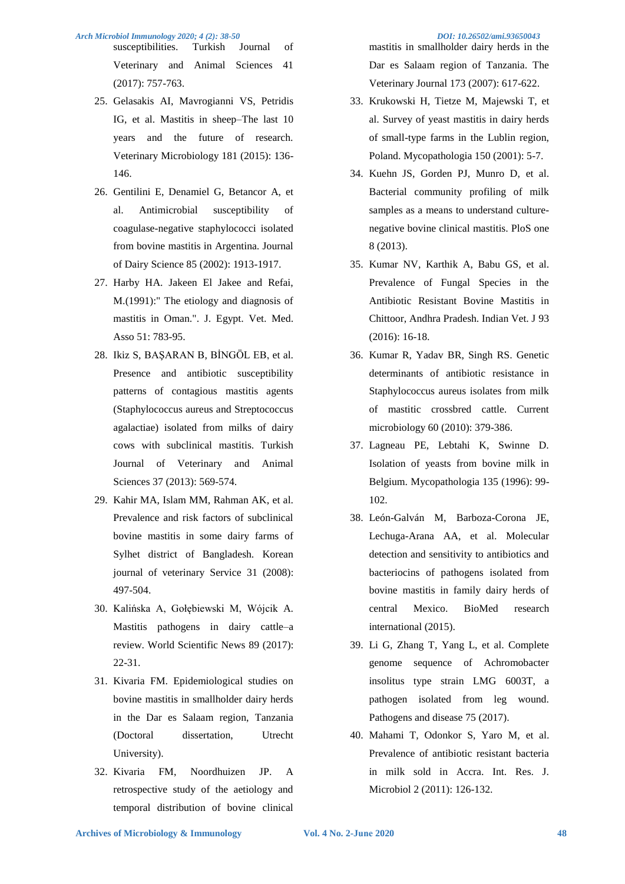susceptibilities. Turkish Journal of Veterinary and Animal Sciences 41 (2017): 757-763.

- 25. Gelasakis AI, Mavrogianni VS, Petridis IG, et al. Mastitis in sheep–The last 10 years and the future of research. Veterinary Microbiology 181 (2015): 136- 146.
- 26. Gentilini E, Denamiel G, Betancor A, et al. Antimicrobial susceptibility of coagulase-negative staphylococci isolated from bovine mastitis in Argentina. Journal of Dairy Science 85 (2002): 1913-1917.
- 27. Harby HA. Jakeen El Jakee and Refai, M.(1991):" The etiology and diagnosis of mastitis in Oman.". J. Egypt. Vet. Med. Asso 51: 783-95.
- 28. Ikiz S, BAŞARAN B, BİNGÖL EB, et al. Presence and antibiotic susceptibility patterns of contagious mastitis agents (Staphylococcus aureus and Streptococcus agalactiae) isolated from milks of dairy cows with subclinical mastitis. Turkish Journal of Veterinary and Animal Sciences 37 (2013): 569-574.
- 29. Kahir MA, Islam MM, Rahman AK, et al. Prevalence and risk factors of subclinical bovine mastitis in some dairy farms of Sylhet district of Bangladesh. Korean journal of veterinary Service 31 (2008): 497-504.
- 30. Kalińska A, Gołębiewski M, Wójcik A. Mastitis pathogens in dairy cattle–a review. World Scientific News 89 (2017): 22-31.
- 31. Kivaria FM. Epidemiological studies on bovine mastitis in smallholder dairy herds in the Dar es Salaam region, Tanzania (Doctoral dissertation, Utrecht University).
- 32. Kivaria FM, Noordhuizen JP. A retrospective study of the aetiology and temporal distribution of bovine clinical

mastitis in smallholder dairy herds in the Dar es Salaam region of Tanzania. The

33. Krukowski H, Tietze M, Majewski T, et al. Survey of yeast mastitis in dairy herds of small-type farms in the Lublin region, Poland. Mycopathologia 150 (2001): 5-7.

Veterinary Journal 173 (2007): 617-622.

- 34. Kuehn JS, Gorden PJ, Munro D, et al. Bacterial community profiling of milk samples as a means to understand culturenegative bovine clinical mastitis. PloS one 8 (2013).
- 35. Kumar NV, Karthik A, Babu GS, et al. Prevalence of Fungal Species in the Antibiotic Resistant Bovine Mastitis in Chittoor, Andhra Pradesh. Indian Vet. J 93 (2016): 16-18.
- 36. Kumar R, Yadav BR, Singh RS. Genetic determinants of antibiotic resistance in Staphylococcus aureus isolates from milk of mastitic crossbred cattle. Current microbiology 60 (2010): 379-386.
- 37. Lagneau PE, Lebtahi K, Swinne D. Isolation of yeasts from bovine milk in Belgium. Mycopathologia 135 (1996): 99- 102.
- 38. León-Galván M, Barboza-Corona JE, Lechuga-Arana AA, et al. Molecular detection and sensitivity to antibiotics and bacteriocins of pathogens isolated from bovine mastitis in family dairy herds of central Mexico. BioMed research international (2015).
- 39. Li G, Zhang T, Yang L, et al. Complete genome sequence of Achromobacter insolitus type strain LMG 6003T, a pathogen isolated from leg wound. Pathogens and disease 75 (2017).
- 40. Mahami T, Odonkor S, Yaro M, et al. Prevalence of antibiotic resistant bacteria in milk sold in Accra. Int. Res. J. Microbiol 2 (2011): 126-132.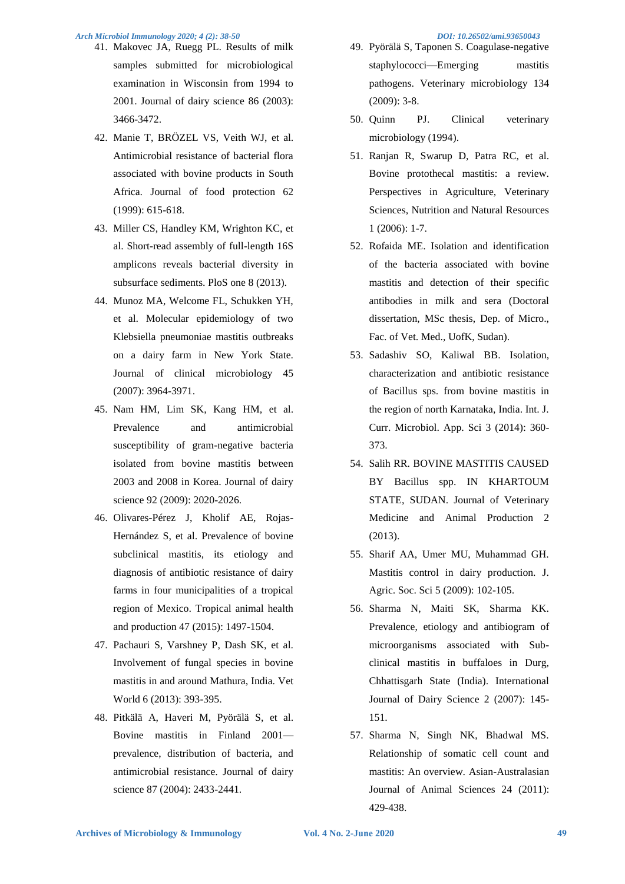- 41. Makovec JA, Ruegg PL. Results of milk samples submitted for microbiological examination in Wisconsin from 1994 to 2001. Journal of dairy science 86 (2003): 3466-3472.
- 42. Manie T, BRÖZEL VS, Veith WJ, et al. Antimicrobial resistance of bacterial flora associated with bovine products in South Africa. Journal of food protection 62 (1999): 615-618.
- 43. Miller CS, Handley KM, Wrighton KC, et al. Short-read assembly of full-length 16S amplicons reveals bacterial diversity in subsurface sediments. PloS one 8 (2013).
- 44. Munoz MA, Welcome FL, Schukken YH, et al. Molecular epidemiology of two Klebsiella pneumoniae mastitis outbreaks on a dairy farm in New York State. Journal of clinical microbiology 45 (2007): 3964-3971.
- 45. Nam HM, Lim SK, Kang HM, et al. Prevalence and antimicrobial susceptibility of gram-negative bacteria isolated from bovine mastitis between 2003 and 2008 in Korea. Journal of dairy science 92 (2009): 2020-2026.
- 46. Olivares-Pérez J, Kholif AE, Rojas-Hernández S, et al. Prevalence of bovine subclinical mastitis, its etiology and diagnosis of antibiotic resistance of dairy farms in four municipalities of a tropical region of Mexico. Tropical animal health and production 47 (2015): 1497-1504.
- 47. Pachauri S, Varshney P, Dash SK, et al. Involvement of fungal species in bovine mastitis in and around Mathura, India. Vet World 6 (2013): 393-395.
- 48. Pitkälä A, Haveri M, Pyörälä S, et al. Bovine mastitis in Finland 2001 prevalence, distribution of bacteria, and antimicrobial resistance. Journal of dairy science 87 (2004): 2433-2441.
- 49. Pyörälä S, Taponen S. Coagulase-negative staphylococci—Emerging mastitis pathogens. Veterinary microbiology 134 (2009): 3-8.
- 50. Quinn PJ. Clinical veterinary microbiology (1994).
- 51. Ranjan R, Swarup D, Patra RC, et al. Bovine protothecal mastitis: a review. Perspectives in Agriculture, Veterinary Sciences, Nutrition and Natural Resources 1 (2006): 1-7.
- 52. Rofaida ME. Isolation and identification of the bacteria associated with bovine mastitis and detection of their specific antibodies in milk and sera (Doctoral dissertation, MSc thesis, Dep. of Micro., Fac. of Vet. Med., UofK, Sudan).
- 53. Sadashiv SO, Kaliwal BB. Isolation, characterization and antibiotic resistance of Bacillus sps. from bovine mastitis in the region of north Karnataka, India. Int. J. Curr. Microbiol. App. Sci 3 (2014): 360- 373.
- 54. Salih RR. BOVINE MASTITIS CAUSED BY Bacillus spp. IN KHARTOUM STATE, SUDAN. Journal of Veterinary Medicine and Animal Production 2 (2013).
- 55. Sharif AA, Umer MU, Muhammad GH. Mastitis control in dairy production. J. Agric. Soc. Sci 5 (2009): 102-105.
- 56. Sharma N, Maiti SK, Sharma KK. Prevalence, etiology and antibiogram of microorganisms associated with Subclinical mastitis in buffaloes in Durg, Chhattisgarh State (India). International Journal of Dairy Science 2 (2007): 145- 151.
- 57. Sharma N, Singh NK, Bhadwal MS. Relationship of somatic cell count and mastitis: An overview. Asian-Australasian Journal of Animal Sciences 24 (2011): 429-438.